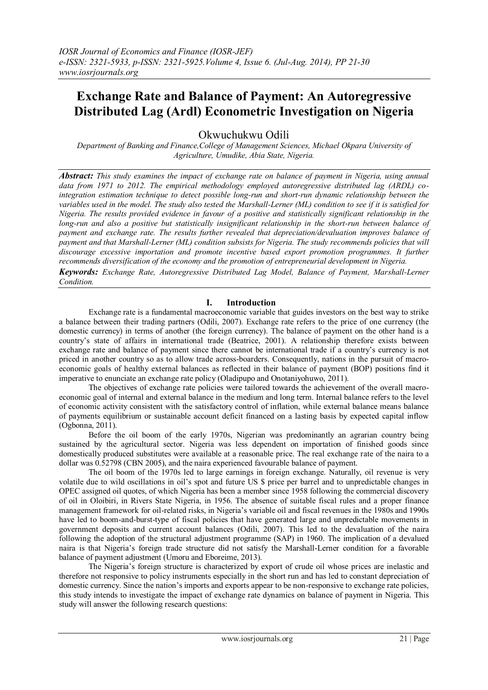# **Exchange Rate and Balance of Payment: An Autoregressive Distributed Lag (Ardl) Econometric Investigation on Nigeria**

Okwuchukwu Odili

*Department of Banking and Finance,College of Management Sciences, Michael Okpara University of Agriculture, Umudike, Abia State, Nigeria.*

*Abstract: This study examines the impact of exchange rate on balance of payment in Nigeria, using annual data from 1971 to 2012. The empirical methodology employed autoregressive distributed lag (ARDL) cointegration estimation technique to detect possible long-run and short-run dynamic relationship between the variables used in the model. The study also tested the Marshall-Lerner (ML) condition to see if it is satisfied for Nigeria. The results provided evidence in favour of a positive and statistically significant relationship in the long-run and also a positive but statistically insignificant relationship in the short-run between balance of payment and exchange rate. The results further revealed that depreciation/devaluation improves balance of payment and that Marshall-Lerner (ML) condition subsists for Nigeria. The study recommends policies that will discourage excessive importation and promote incentive based export promotion programmes. It further recommends diversification of the economy and the promotion of entrepreneurial development in Nigeria.* 

*Keywords: Exchange Rate, Autoregressive Distributed Lag Model, Balance of Payment, Marshall-Lerner Condition.* 

## **I. Introduction**

Exchange rate is a fundamental macroeconomic variable that guides investors on the best way to strike a balance between their trading partners (Odili, 2007). Exchange rate refers to the price of one currency (the domestic currency) in terms of another (the foreign currency). The balance of payment on the other hand is a country"s state of affairs in international trade (Beatrice, 2001). A relationship therefore exists between exchange rate and balance of payment since there cannot be international trade if a country"s currency is not priced in another country so as to allow trade across-boarders. Consequently, nations in the pursuit of macroeconomic goals of healthy external balances as reflected in their balance of payment (BOP) positions find it imperative to enunciate an exchange rate policy (Oladipupo and Onotaniyohuwo, 2011).

The objectives of exchange rate policies were tailored towards the achievement of the overall macroeconomic goal of internal and external balance in the medium and long term. Internal balance refers to the level of economic activity consistent with the satisfactory control of inflation, while external balance means balance of payments equilibrium or sustainable account deficit financed on a lasting basis by expected capital inflow (Ogbonna, 2011).

Before the oil boom of the early 1970s, Nigerian was predominantly an agrarian country being sustained by the agricultural sector. Nigeria was less dependent on importation of finished goods since domestically produced substitutes were available at a reasonable price. The real exchange rate of the naira to a dollar was 0.52798 (CBN 2005), and the naira experienced favourable balance of payment.

The oil boom of the 1970s led to large earnings in foreign exchange. Naturally, oil revenue is very volatile due to wild oscillations in oil"s spot and future US \$ price per barrel and to unpredictable changes in OPEC assigned oil quotes, of which Nigeria has been a member since 1958 following the commercial discovery of oil in Oloibiri, in Rivers State Nigeria, in 1956. The absence of suitable fiscal rules and a proper finance management framework for oil-related risks, in Nigeria"s variable oil and fiscal revenues in the 1980s and 1990s have led to boom-and-burst-type of fiscal policies that have generated large and unpredictable movements in government deposits and current account balances (Odili, 2007). This led to the devaluation of the naira following the adoption of the structural adjustment programme (SAP) in 1960. The implication of a devalued naira is that Nigeria"s foreign trade structure did not satisfy the Marshall-Lerner condition for a favorable balance of payment adjustment (Umoru and Eboreime, 2013).

The Nigeria"s foreign structure is characterized by export of crude oil whose prices are inelastic and therefore not responsive to policy instruments especially in the short run and has led to constant depreciation of domestic currency. Since the nation"s imports and exports appear to be non-responsive to exchange rate policies, this study intends to investigate the impact of exchange rate dynamics on balance of payment in Nigeria. This study will answer the following research questions: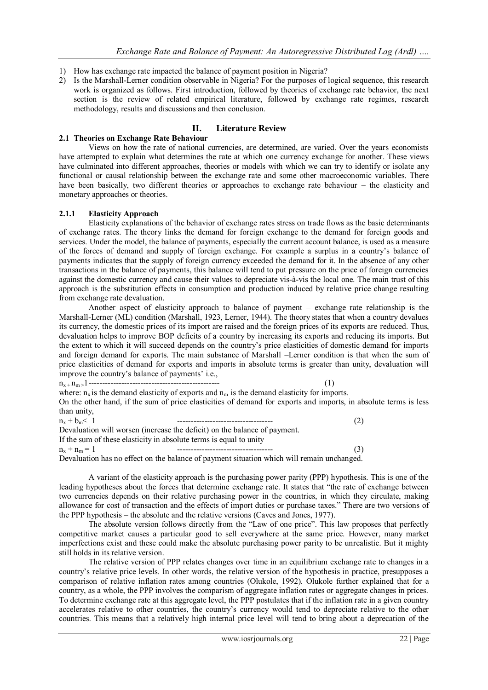- 1) How has exchange rate impacted the balance of payment position in Nigeria?
- 2) Is the Marshall-Lerner condition observable in Nigeria? For the purposes of logical sequence, this research work is organized as follows. First introduction, followed by theories of exchange rate behavior, the next section is the review of related empirical literature, followed by exchange rate regimes, research methodology, results and discussions and then conclusion.

#### **II. Literature Review**

#### **2.1 Theories on Exchange Rate Behaviour**

Views on how the rate of national currencies, are determined, are varied. Over the years economists have attempted to explain what determines the rate at which one currency exchange for another. These views have culminated into different approaches, theories or models with which we can try to identify or isolate any functional or causal relationship between the exchange rate and some other macroeconomic variables. There have been basically, two different theories or approaches to exchange rate behaviour – the elasticity and monetary approaches or theories.

#### **2.1.1 Elasticity Approach**

Elasticity explanations of the behavior of exchange rates stress on trade flows as the basic determinants of exchange rates. The theory links the demand for foreign exchange to the demand for foreign goods and services. Under the model, the balance of payments, especially the current account balance, is used as a measure of the forces of demand and supply of foreign exchange. For example a surplus in a country"s balance of payments indicates that the supply of foreign currency exceeded the demand for it. In the absence of any other transactions in the balance of payments, this balance will tend to put pressure on the price of foreign currencies against the domestic currency and cause their values to depreciate vis-à-vis the local one. The main trust of this approach is the substitution effects in consumption and production induced by relative price change resulting from exchange rate devaluation.

Another aspect of elasticity approach to balance of payment – exchange rate relationship is the Marshall-Lerner (ML) condition (Marshall, 1923, Lerner, 1944). The theory states that when a country devalues its currency, the domestic prices of its import are raised and the foreign prices of its exports are reduced. Thus, devaluation helps to improve BOP deficits of a country by increasing its exports and reducing its imports. But the extent to which it will succeed depends on the country"s price elasticities of domestic demand for imports and foreign demand for exports. The main substance of Marshall –Lerner condition is that when the sum of price elasticities of demand for exports and imports in absolute terms is greater than unity, devaluation will improve the country's balance of payments' i.e., n<sup>x</sup> <sup>+</sup>nm >1------------------------------------------------ (1)

where:  $n_x$  is the demand elasticity of exports and  $n_m$  is the demand elasticity for imports. On the other hand, if the sum of price elasticities of demand for exports and imports, in absolute terms is less than unity,

| $n_{v} + b_{m} < 1$ |                                                                                           | (2) |
|---------------------|-------------------------------------------------------------------------------------------|-----|
|                     | Devaluation will worsen (increase the deficit) on the balance of payment.                 |     |
|                     | If the sum of these elasticity in absolute terms is equal to unity                        |     |
| $n_{x} + n_{m} = 1$ |                                                                                           | (3) |
|                     | Devaluation has no effect on the balance of nayment situation which will remain unchanged |     |

Devaluation has no effect on the balance of payment situation which will remain unchanged.

A variant of the elasticity approach is the purchasing power parity (PPP) hypothesis. This is one of the leading hypotheses about the forces that determine exchange rate. It states that "the rate of exchange between two currencies depends on their relative purchasing power in the countries, in which they circulate, making allowance for cost of transaction and the effects of import duties or purchase taxes." There are two versions of the PPP hypothesis – the absolute and the relative versions (Caves and Jones, 1977).

The absolute version follows directly from the "Law of one price". This law proposes that perfectly competitive market causes a particular good to sell everywhere at the same price. However, many market imperfections exist and these could make the absolute purchasing power parity to be unrealistic. But it mighty still holds in its relative version.

The relative version of PPP relates changes over time in an equilibrium exchange rate to changes in a country"s relative price levels. In other words, the relative version of the hypothesis in practice, presupposes a comparison of relative inflation rates among countries (Olukole, 1992). Olukole further explained that for a country, as a whole, the PPP involves the comparism of aggregate inflation rates or aggregate changes in prices. To determine exchange rate at this aggregate level, the PPP postulates that if the inflation rate in a given country accelerates relative to other countries, the country"s currency would tend to depreciate relative to the other countries. This means that a relatively high internal price level will tend to bring about a deprecation of the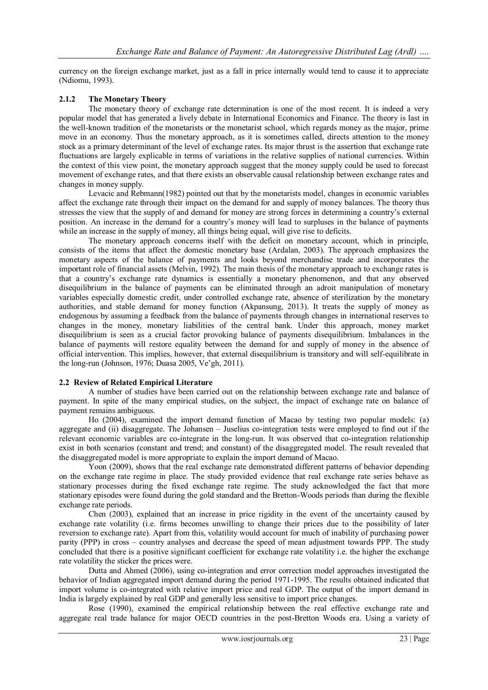currency on the foreign exchange market, just as a fall in price internally would tend to cause it to appreciate (Ndiomu, 1993).

# **2.1.2 The Monetary Theory**

The monetary theory of exchange rate determination is one of the most recent. It is indeed a very popular model that has generated a lively debate in International Economics and Finance. The theory is last in the well-known tradition of the monetarists or the monetarist school, which regards money as the major, prime move in an economy. Thus the monetary approach, as it is sometimes called, directs attention to the money stock as a primary determinant of the level of exchange rates. Its major thrust is the assertion that exchange rate fluctuations are largely explicable in terms of variations in the relative supplies of national currencies. Within the context of this view point, the monetary approach suggest that the money supply could be used to forecast movement of exchange rates, and that there exists an observable causal relationship between exchange rates and changes in money supply.

Levacic and Rebmann(1982) pointed out that by the monetarists model, changes in economic variables affect the exchange rate through their impact on the demand for and supply of money balances. The theory thus stresses the view that the supply of and demand for money are strong forces in determining a country"s external position. An increase in the demand for a country"s money will lead to surpluses in the balance of payments while an increase in the supply of money, all things being equal, will give rise to deficits.

The monetary approach concerns itself with the deficit on monetary account, which in principle, consists of the items that affect the domestic monetary base (Ardalan, 2003). The approach emphasizes the monetary aspects of the balance of payments and looks beyond merchandise trade and incorporates the important role of financial assets (Melvin, 1992). The main thesis of the monetary approach to exchange rates is that a country"s exchange rate dynamics is essentially a monetary phenomenon, and that any observed disequilibrium in the balance of payments can be eliminated through an adroit manipulation of monetary variables especially domestic credit, under controlled exchange rate, absence of sterilization by the monetary authorities, and stable demand for money function (Akpansung, 2013). It treats the supply of money as endogenous by assuming a feedback from the balance of payments through changes in international reserves to changes in the money, monetary liabilities of the central bank. Under this approach, money market disequilibrium is seen as a crucial factor provoking balance of payments disequilibrium. Imbalances in the balance of payments will restore equality between the demand for and supply of money in the absence of official intervention. This implies, however, that external disequilibrium is transitory and will self-equilibrate in the long-run (Johnson, 1976; Duasa 2005, Ve"gh, 2011).

## **2.2 Review of Related Empirical Literature**

A number of studies have been carried out on the relationship between exchange rate and balance of payment. In spite of the many empirical studies, on the subject, the impact of exchange rate on balance of payment remains ambiguous.

Ho (2004), examined the import demand function of Macao by testing two popular models: (a) aggregate and (ii) disaggregate. The Johansen – Juselius co-integration tests were employed to find out if the relevant economic variables are co-integrate in the long-run. It was observed that co-integration relationship exist in both scenarios (constant and trend; and constant) of the disaggregated model. The result revealed that the disaggregated model is more appropriate to explain the import demand of Macao.

Yoon (2009), shows that the real exchange rate demonstrated different patterns of behavior depending on the exchange rate regime in place. The study provided evidence that real exchange rate series behave as stationary processes during the fixed exchange rate regime. The study acknowledged the fact that more stationary episodes were found during the gold standard and the Bretton-Woods periods than during the flexible exchange rate periods.

Chen (2003), explained that an increase in price rigidity in the event of the uncertainty caused by exchange rate volatility (i.e. firms becomes unwilling to change their prices due to the possibility of later reversion to exchange rate). Apart from this, volatility would account for much of inability of purchasing power parity (PPP) in cross – country analyses and decrease the speed of mean adjustment towards PPP. The study concluded that there is a positive significant coefficient for exchange rate volatility i.e. the higher the exchange rate volatility the sticker the prices were.

Dutta and Ahmed (2006), using co-integration and error correction model approaches investigated the behavior of Indian aggregated import demand during the period 1971-1995. The results obtained indicated that import volume is co-integrated with relative import price and real GDP. The output of the import demand in India is largely explained by real GDP and generally less sensitive to import price changes.

Rose (1990), examined the empirical relationship between the real effective exchange rate and aggregate real trade balance for major OECD countries in the post-Bretton Woods era. Using a variety of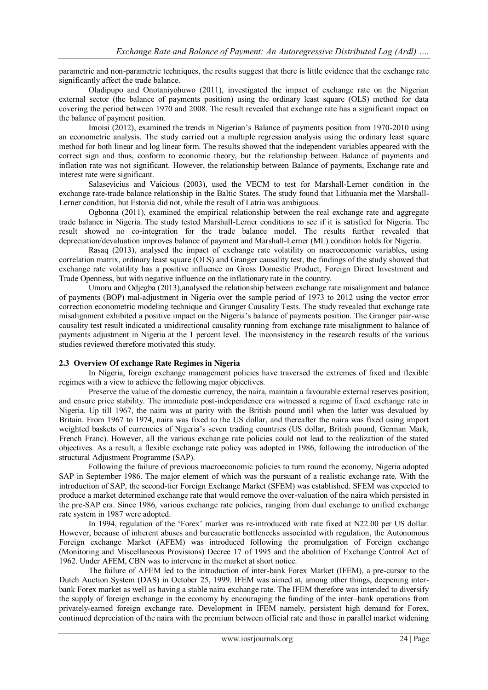parametric and non-parametric techniques, the results suggest that there is little evidence that the exchange rate significantly affect the trade balance.

Oladipupo and Onotaniyohuwo (2011), investigated the impact of exchange rate on the Nigerian external sector (the balance of payments position) using the ordinary least square (OLS) method for data covering the period between 1970 and 2008. The result revealed that exchange rate has a significant impact on the balance of payment position.

Imoisi (2012), examined the trends in Nigerian"s Balance of payments position from 1970-2010 using an econometric analysis. The study carried out a multiple regression analysis using the ordinary least square method for both linear and log linear form. The results showed that the independent variables appeared with the correct sign and thus, conform to economic theory, but the relationship between Balance of payments and inflation rate was not significant. However, the relationship between Balance of payments, Exchange rate and interest rate were significant.

Salasevicius and Vaicious (2003), used the VECM to test for Marshall-Lerner condition in the exchange rate-trade balance relationship in the Baltic States. The study found that Lithuania met the Marshall-Lerner condition, but Estonia did not, while the result of Latria was ambiguous.

Ogbonna (2011), examined the empirical relationship between the real exchange rate and aggregate trade balance in Nigeria. The study tested Marshall-Lerner conditions to see if it is satisfied for Nigeria. The result showed no co-integration for the trade balance model. The results further revealed that depreciation/devaluation improves balance of payment and Marshall-Lerner (ML) condition holds for Nigeria.

Rasaq (2013), analysed the impact of exchange rate volatility on macroeconomic variables, using correlation matrix, ordinary least square (OLS) and Granger causality test, the findings of the study showed that exchange rate volatility has a positive influence on Gross Domestic Product, Foreign Direct Investment and Trade Openness, but with negative influence on the inflationary rate in the country.

Umoru and Odjegba (2013),analysed the relationship between exchange rate misalignment and balance of payments (BOP) mal-adjustment in Nigeria over the sample period of 1973 to 2012 using the vector error correction econometric modeling technique and Granger Causality Tests. The study revealed that exchange rate misalignment exhibited a positive impact on the Nigeria"s balance of payments position. The Granger pair-wise causality test result indicated a unidirectional causality running from exchange rate misalignment to balance of payments adjustment in Nigeria at the 1 percent level. The inconsistency in the research results of the various studies reviewed therefore motivated this study.

## **2.3 Overview Of exchange Rate Regimes in Nigeria**

In Nigeria, foreign exchange management policies have traversed the extremes of fixed and flexible regimes with a view to achieve the following major objectives.

Preserve the value of the domestic currency, the naira, maintain a favourable external reserves position; and ensure price stability. The immediate post-independence era witnessed a regime of fixed exchange rate in Nigeria. Up till 1967, the naira was at parity with the British pound until when the latter was devalued by Britain. From 1967 to 1974, naira was fixed to the US dollar, and thereafter the naira was fixed using import weighted baskets of currencies of Nigeria's seven trading countries (US dollar, British pound, German Mark, French Franc). However, all the various exchange rate policies could not lead to the realization of the stated objectives. As a result, a flexible exchange rate policy was adopted in 1986, following the introduction of the structural Adjustment Programme (SAP).

Following the failure of previous macroeconomic policies to turn round the economy, Nigeria adopted SAP in September 1986. The major element of which was the pursuant of a realistic exchange rate. With the introduction of SAP, the second-tier Foreign Exchange Market (SFEM) was established. SFEM was expected to produce a market determined exchange rate that would remove the over-valuation of the naira which persisted in the pre-SAP era. Since 1986, various exchange rate policies, ranging from dual exchange to unified exchange rate system in 1987 were adopted.

In 1994, regulation of the 'Forex' market was re-introduced with rate fixed at N22.00 per US dollar. However, because of inherent abuses and bureaucratic bottlenecks associated with regulation, the Autonomous Foreign exchange Market (AFEM) was introduced following the promulgation of Foreign exchange (Monitoring and Miscellaneous Provisions) Decree 17 of 1995 and the abolition of Exchange Control Act of 1962. Under AFEM, CBN was to intervene in the market at short notice.

The failure of AFEM led to the introduction of inter-bank Forex Market (IFEM), a pre-cursor to the Dutch Auction System (DAS) in October 25, 1999. IFEM was aimed at, among other things, deepening interbank Forex market as well as having a stable naira exchange rate. The IFEM therefore was intended to diversify the supply of foreign exchange in the economy by encouraging the funding of the inter–bank operations from privately-earned foreign exchange rate. Development in IFEM namely, persistent high demand for Forex, continued depreciation of the naira with the premium between official rate and those in parallel market widening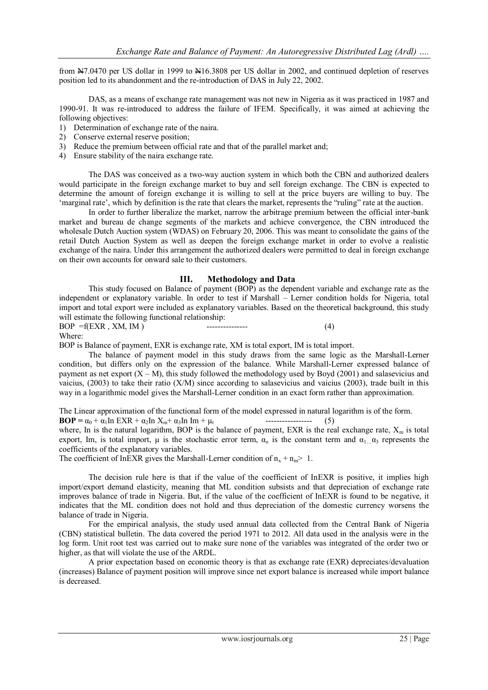from N7.0470 per US dollar in 1999 to N16.3808 per US dollar in 2002, and continued depletion of reserves position led to its abandonment and the re-introduction of DAS in July 22, 2002.

DAS, as a means of exchange rate management was not new in Nigeria as it was practiced in 1987 and 1990-91. It was re-introduced to address the failure of IFEM. Specifically, it was aimed at achieving the following objectives:

- 1) Determination of exchange rate of the naira.
- 2) Conserve external reserve position;
- 3) Reduce the premium between official rate and that of the parallel market and;
- 4) Ensure stability of the naira exchange rate.

The DAS was conceived as a two-way auction system in which both the CBN and authorized dealers would participate in the foreign exchange market to buy and sell foreign exchange. The CBN is expected to determine the amount of foreign exchange it is willing to sell at the price buyers are willing to buy. The 'marginal rate', which by definition is the rate that clears the market, represents the "ruling" rate at the auction.

In order to further liberalize the market, narrow the arbitrage premium between the official inter-bank market and bureau de change segments of the markets and achieve convergence, the CBN introduced the wholesale Dutch Auction system (WDAS) on February 20, 2006. This was meant to consolidate the gains of the retail Dutch Auction System as well as deepen the foreign exchange market in order to evolve a realistic exchange of the naira. Under this arrangement the authorized dealers were permitted to deal in foreign exchange on their own accounts for onward sale to their customers.

# **III. Methodology and Data**

This study focused on Balance of payment (BOP) as the dependent variable and exchange rate as the independent or explanatory variable. In order to test if Marshall – Lerner condition holds for Nigeria, total import and total export were included as explanatory variables. Based on the theoretical background, this study will estimate the following functional relationship:

 $BOP = f(EXR, XM, IM)$  ---------------- (4) Where:

BOP is Balance of payment, EXR is exchange rate, XM is total export, IM is total import.

The balance of payment model in this study draws from the same logic as the Marshall-Lerner condition, but differs only on the expression of the balance. While Marshall-Lerner expressed balance of payment as net export  $(X - M)$ , this study followed the methodology used by Boyd (2001) and salasevicius and vaicius, (2003) to take their ratio (X/M) since according to salasevicius and vaicius (2003), trade built in this way in a logarithmic model gives the Marshall-Lerner condition in an exact form rather than approximation.

The Linear approximation of the functional form of the model expressed in natural logarithm is of the form. **BOP** =  $\alpha_0 + \alpha_1 \ln \text{EXR} + \alpha_2 \ln X_m + \alpha_3 \ln \text{Im} + \mu_t$  --------------------- (5)

where, In is the natural logarithm, BOP is the balance of payment, EXR is the real exchange rate,  $X_m$  is total export, Im, is total import,  $\mu$  is the stochastic error term,  $\alpha_0$  is the constant term and  $\alpha_{1}$   $\alpha_3$  represents the coefficients of the explanatory variables.

The coefficient of InEXR gives the Marshall-Lerner condition of  $n_x + n_m$  1.

The decision rule here is that if the value of the coefficient of InEXR is positive, it implies high import/export demand elasticity, meaning that ML condition subsists and that depreciation of exchange rate improves balance of trade in Nigeria. But, if the value of the coefficient of InEXR is found to be negative, it indicates that the ML condition does not hold and thus depreciation of the domestic currency worsens the balance of trade in Nigeria.

For the empirical analysis, the study used annual data collected from the Central Bank of Nigeria (CBN) statistical bulletin. The data covered the period 1971 to 2012. All data used in the analysis were in the log form. Unit root test was carried out to make sure none of the variables was integrated of the order two or higher, as that will violate the use of the ARDL.

A prior expectation based on economic theory is that as exchange rate (EXR) depreciates/devaluation (increases) Balance of payment position will improve since net export balance is increased while import balance is decreased.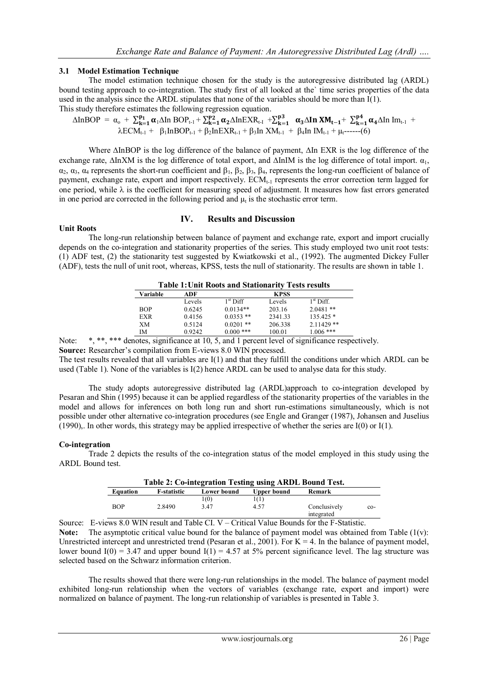# **3.1 Model Estimation Technique**

The model estimation technique chosen for the study is the autoregressive distributed lag (ARDL) bound testing approach to co-integration. The study first of all looked at the` time series properties of the data used in the analysis since the ARDL stipulates that none of the variables should be more than I(1). This study therefore estimates the following regression equation.

$$
\Delta In BOP = \alpha_{o} + \sum_{k=1}^{p_{1}} \alpha_{1} \Delta In BOP_{t-1} + \sum_{k=1}^{p_{2}} \alpha_{2} \Delta In EXR_{t-1} + \sum_{k=1}^{p_{3}} \alpha_{3} \Delta In XM_{t-1} + \sum_{k=1}^{p_{4}} \alpha_{4} \Delta In Im_{t-1} + \lambda ECM_{t-1} + \beta_{1} In BOP_{t-1} + \beta_{2} In EXR_{t-1} + \beta_{3} In XM_{t-1} + \beta_{4} In IM_{t-1} + \mu_{t}^{---}(6)
$$

Where  $\Delta$ InBOP is the log difference of the balance of payment,  $\Delta$ In EXR is the log difference of the exchange rate,  $\Delta \ln X$ M is the log difference of total export, and  $\Delta \ln M$  is the log difference of total import.  $\alpha_1$ ,  $\alpha_2$ ,  $\alpha_3$ ,  $\alpha_4$  represents the short-run coefficient and  $\beta_1$ ,  $\beta_2$ ,  $\beta_3$ ,  $\beta_4$ , represents the long-run coefficient of balance of payment, exchange rate, export and import respectively.  $ECM_{t-1}$  represents the error correction term lagged for one period, while  $\lambda$  is the coefficient for measuring speed of adjustment. It measures how fast errors generated in one period are corrected in the following period and  $\mu_t$  is the stochastic error term.

# **IV. Results and Discussion**

# **Unit Roots**

The long-run relationship between balance of payment and exchange rate, export and import crucially depends on the co-integration and stationarity properties of the series. This study employed two unit root tests: (1) ADF test, (2) the stationarity test suggested by Kwiatkowski et al., (1992). The augmented Dickey Fuller (ADF), tests the null of unit root, whereas, KPSS, tests the null of stationarity. The results are shown in table 1.

| <b>Table 1: Unit Roots and Stationarity Tests results</b> |        |                      |             |              |  |
|-----------------------------------------------------------|--------|----------------------|-------------|--------------|--|
| Variable                                                  | ADF    |                      | <b>KPSS</b> |              |  |
|                                                           | Levels | 1 <sup>st</sup> Diff | Levels      | $1st$ Diff.  |  |
| <b>BOP</b>                                                | 0.6245 | $0.0134**$           | 203.16      | $2.0481**$   |  |
| <b>EXR</b>                                                | 0.4156 | $0.0353$ **          | 2341.33     | $135.425*$   |  |
| XM                                                        | 0.5124 | $0.0201$ **          | 206.338     | $2.11429$ ** |  |
| IΜ                                                        | 0.9242 | $0.000$ ***          | 100.01      | $1.006$ ***  |  |

Note: \*, \*\*, \*\*\* denotes, significance at 10, 5, and 1 percent level of significance respectively.

Source: Researcher's compilation from E-views 8.0 WIN processed.

The test results revealed that all variables are I(1) and that they fulfill the conditions under which ARDL can be used (Table 1). None of the variables is I(2) hence ARDL can be used to analyse data for this study.

The study adopts autoregressive distributed lag (ARDL)approach to co-integration developed by Pesaran and Shin (1995) because it can be applied regardless of the stationarity properties of the variables in the model and allows for inferences on both long run and short run-estimations simultaneously, which is not possible under other alternative co-integration procedures (see Engle and Granger (1987), Johansen and Juselius (1990),. In other words, this strategy may be applied irrespective of whether the series are  $I(0)$  or  $I(1)$ .

# **Co-integration**

Trade 2 depicts the results of the co-integration status of the model employed in this study using the ARDL Bound test.

| Table 2: Co-integration Testing using ARDL Bound Test. |                    |             |             |                            |       |
|--------------------------------------------------------|--------------------|-------------|-------------|----------------------------|-------|
| Equation                                               | <b>F-statistic</b> | Lower bound | Upper bound | Remark                     |       |
|                                                        |                    | 1(0)        | 1(1)        |                            |       |
| <b>BOP</b>                                             | 2.8490             | 347         | 4.57        | Conclusively<br>integrated | $co-$ |

Source: E-views 8.0 WIN result and Table CI. V – Critical Value Bounds for the F-Statistic. **Note:** The asymptotic critical value bound for the balance of payment model was obtained from Table  $(1(v))$ : Unrestricted intercept and unrestricted trend (Pesaran et al., 2001). For  $K = 4$ . In the balance of payment model, lower bound  $I(0) = 3.47$  and upper bound  $I(1) = 4.57$  at 5% percent significance level. The lag structure was selected based on the Schwarz information criterion.

The results showed that there were long-run relationships in the model. The balance of payment model exhibited long-run relationship when the vectors of variables (exchange rate, export and import) were normalized on balance of payment. The long-run relationship of variables is presented in Table 3.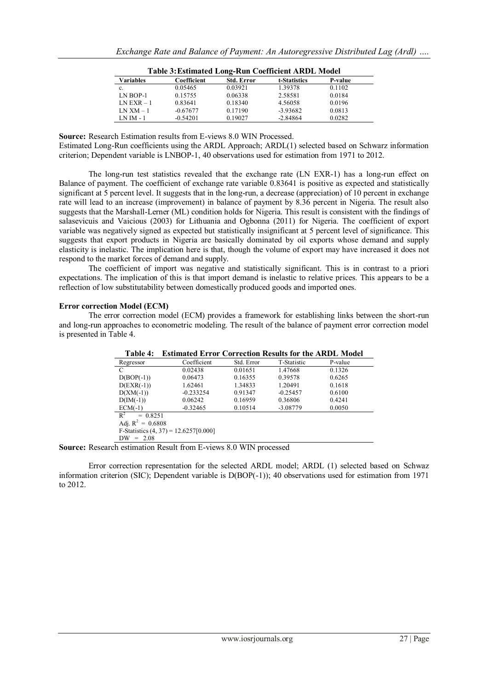| Table 3: Estimated Long-Run Coefficient ARDL Model |             |                   |              |         |  |
|----------------------------------------------------|-------------|-------------------|--------------|---------|--|
| <b>Variables</b>                                   | Coefficient | <b>Std. Error</b> | t-Statistics | P-value |  |
| c.                                                 | 0.05465     | 0.03921           | 1.39378      | 0.1102  |  |
| $LN BOP-1$                                         | 0.15755     | 0.06338           | 2.58581      | 0.0184  |  |
| $LN EXR - 1$                                       | 0.83641     | 0.18340           | 4.56058      | 0.0196  |  |
| $LN$ XM $-1$                                       | $-0.67677$  | 0.17190           | $-3.93682$   | 0.0813  |  |
| $LNIM - 1$                                         | $-0.54201$  | 0.19027           | $-2.84864$   | 0.0282  |  |

**Source:** Research Estimation results from E-views 8.0 WIN Processed.

Estimated Long-Run coefficients using the ARDL Approach; ARDL(1) selected based on Schwarz information criterion; Dependent variable is LNBOP-1, 40 observations used for estimation from 1971 to 2012.

The long-run test statistics revealed that the exchange rate (LN EXR-1) has a long-run effect on Balance of payment. The coefficient of exchange rate variable 0.83641 is positive as expected and statistically significant at 5 percent level. It suggests that in the long-run, a decrease (appreciation) of 10 percent in exchange rate will lead to an increase (improvement) in balance of payment by 8.36 percent in Nigeria. The result also suggests that the Marshall-Lerner (ML) condition holds for Nigeria. This result is consistent with the findings of salasevicuis and Vaicious (2003) for Lithuania and Ogbonna (2011) for Nigeria. The coefficient of export variable was negatively signed as expected but statistically insignificant at 5 percent level of significance. This suggests that export products in Nigeria are basically dominated by oil exports whose demand and supply elasticity is inelastic. The implication here is that, though the volume of export may have increased it does not respond to the market forces of demand and supply.

The coefficient of import was negative and statistically significant. This is in contrast to a priori expectations. The implication of this is that import demand is inelastic to relative prices. This appears to be a reflection of low substitutability between domestically produced goods and imported ones.

#### **Error correction Model (ECM)**

The error correction model (ECM) provides a framework for establishing links between the short-run and long-run approaches to econometric modeling. The result of the balance of payment error correction model is presented in Table 4.

| 1 apie 4:           | Estimated Error Correction Results for the ARDL Model |            |             |         |  |
|---------------------|-------------------------------------------------------|------------|-------------|---------|--|
| Regressor           | Coefficient                                           | Std. Error | T-Statistic | P-value |  |
| C                   | 0.02438                                               | 0.01651    | 1.47668     | 0.1326  |  |
| $D(BOP(-1))$        | 0.06473                                               | 0.16355    | 0.39578     | 0.6265  |  |
| $D(EXR(-1))$        | 1.62461                                               | 1.34833    | 1.20491     | 0.1618  |  |
| $D(XM(-1))$         | $-0.233254$                                           | 0.91347    | $-0.25457$  | 0.6100  |  |
| $D(IM(-1))$         | 0.06242                                               | 0.16959    | 0.36806     | 0.4241  |  |
| $ECM(-1)$           | $-0.32465$                                            | 0.10514    | $-3.08779$  | 0.0050  |  |
| $R^2$<br>$= 0.8251$ |                                                       |            |             |         |  |
| Adi. $R^2 = 0.6808$ |                                                       |            |             |         |  |

**Table 4: Estimated Error Correction Results for the ARDL Model**

F-Statistics  $(4, 37) = 12.6257[0.000]$  $DW = 2.08$ 

**Source:** Research estimation Result from E-views 8.0 WIN processed

Error correction representation for the selected ARDL model; ARDL (1) selected based on Schwaz information criterion (SIC); Dependent variable is D(BOP(-1)); 40 observations used for estimation from 1971 to 2012.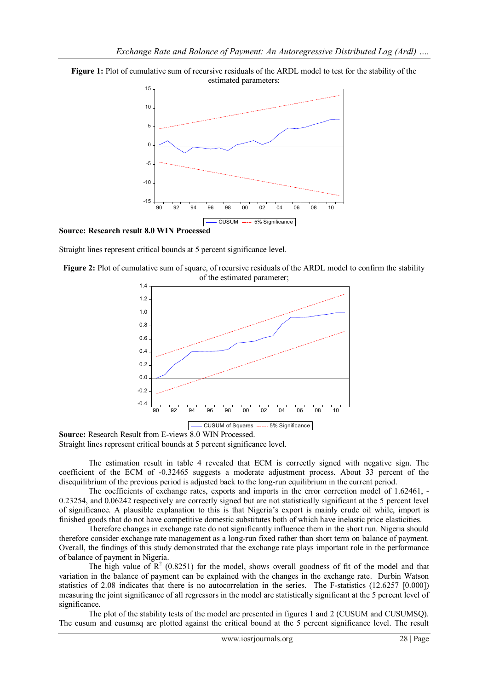



**Source: Research result 8.0 WIN Processed** 

Straight lines represent critical bounds at 5 percent significance level.





**Source:** Research Result from E-views 8.0 WIN Processed. Straight lines represent critical bounds at 5 percent significance level.

The estimation result in table 4 revealed that ECM is correctly signed with negative sign. The coefficient of the ECM of -0.32465 suggests a moderate adjustment process. About 33 percent of the disequilibrium of the previous period is adjusted back to the long-run equilibrium in the current period.

The coefficients of exchange rates, exports and imports in the error correction model of 1.62461, -0.23254, and 0.06242 respectively are correctly signed but are not statistically significant at the 5 percent level of significance. A plausible explanation to this is that Nigeria"s export is mainly crude oil while, import is finished goods that do not have competitive domestic substitutes both of which have inelastic price elasticities.

Therefore changes in exchange rate do not significantly influence them in the short run. Nigeria should therefore consider exchange rate management as a long-run fixed rather than short term on balance of payment. Overall, the findings of this study demonstrated that the exchange rate plays important role in the performance of balance of payment in Nigeria.

The high value of  $R^2$  (0.8251) for the model, shows overall goodness of fit of the model and that variation in the balance of payment can be explained with the changes in the exchange rate. Durbin Watson statistics of 2.08 indicates that there is no autocorrelation in the series. The F-statistics (12.6257 [0.000]) measuring the joint significance of all regressors in the model are statistically significant at the 5 percent level of significance.

The plot of the stability tests of the model are presented in figures 1 and 2 (CUSUM and CUSUMSQ). The cusum and cusumsq are plotted against the critical bound at the 5 percent significance level. The result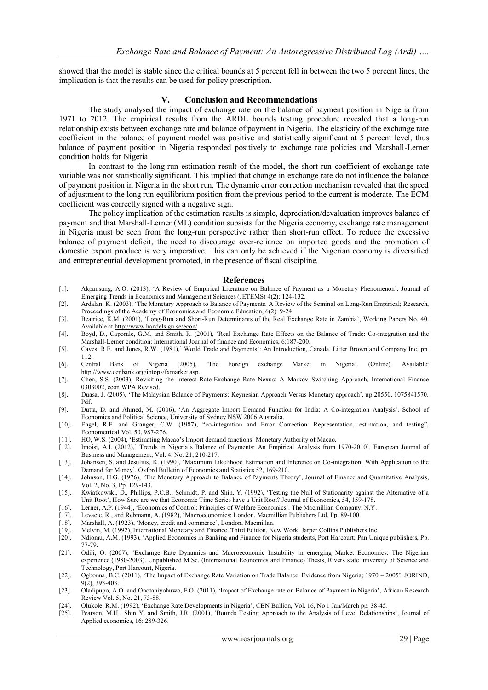showed that the model is stable since the critical bounds at 5 percent fell in between the two 5 percent lines, the implication is that the results can be used for policy prescription.

#### **V. Conclusion and Recommendations**

The study analysed the impact of exchange rate on the balance of payment position in Nigeria from 1971 to 2012. The empirical results from the ARDL bounds testing procedure revealed that a long-run relationship exists between exchange rate and balance of payment in Nigeria. The elasticity of the exchange rate coefficient in the balance of payment model was positive and statistically significant at 5 percent level, thus balance of payment position in Nigeria responded positively to exchange rate policies and Marshall-Lerner condition holds for Nigeria.

In contrast to the long-run estimation result of the model, the short-run coefficient of exchange rate variable was not statistically significant. This implied that change in exchange rate do not influence the balance of payment position in Nigeria in the short run. The dynamic error correction mechanism revealed that the speed of adjustment to the long run equilibrium position from the previous period to the current is moderate. The ECM coefficient was correctly signed with a negative sign.

The policy implication of the estimation results is simple, depreciation/devaluation improves balance of payment and that Marshall-Lerner (ML) condition subsists for the Nigeria economy, exchange rate management in Nigeria must be seen from the long-run perspective rather than short-run effect. To reduce the excessive balance of payment deficit, the need to discourage over-reliance on imported goods and the promotion of domestic export produce is very imperative. This can only be achieved if the Nigerian economy is diversified and entrepreneurial development promoted, in the presence of fiscal discipline.

#### **References**

- [1]. Akpansung, A.O. (2013), "A Review of Empirical Literature on Balance of Payment as a Monetary Phenomenon". Journal of Emerging Trends in Economics and Management Sciences (JETEMS) 4(2): 124-132.
- [2]. Ardalan, K. (2003), "The Monetary Approach to Balance of Payments. A Review of the Seminal on Long-Run Empirical; Research, Proceedings of the Academy of Economics and Economic Education, 6(2): 9-24.
- [3]. Beatrice, K.M. (2001), "Long-Run and Short-Run Determinants of the Real Exchange Rate in Zambia", Working Papers No. 40. Available at<http://www.handels.gu.se/econ/>
- [4]. Boyd, D., Caporale, G.M. and Smith, R. (2001), "Real Exchange Rate Effects on the Balance of Trade: Co-integration and the Marshall-Lerner condition: International Journal of finance and Economics, 6:187-200.
- [5]. Caves, R.E. and Jones, R.W. (1981)," World Trade and Payments": An Introduction, Canada. Litter Brown and Company Inc, pp. 112.
- [6]. Central Bank of Nigeria (2005), 'The Foreign exchange Market in Nigeria'. (Online). Available: [http://www.cenbank.org/intops/fxmarket.asp.](http://www.cenbank.org/intops/fxmarket.asp)
- [7]. Chen, S.S. (2003), Revisiting the Interest Rate-Exchange Rate Nexus: A Markov Switching Approach, International Finance 0303002, econ WPA Revised.
- [8]. Duasa, J. (2005), "The Malaysian Balance of Payments: Keynesian Approach Versus Monetary approach", up 20550. 1075841570. Pdf.
- [9]. Dutta, D. and Ahmed, M. (2006), 'An Aggregate Import Demand Function for India: A Co-integration Analysis'. School of Economics and Political Science, University of Sydney NSW 2006 Australia.
- [10]. Engel, R.F. and Granger, C.W. (1987), "co-integration and Error Correction: Representation, estimation, and testing", Econometrical Vol. 50, 987-276.
- [11]. HO, W.S. (2004), "Estimating Macao"s Import demand functions" Monetary Authority of Macao.
- [12]. Imoisi, A.I. (2012),' Trends in Nigeria's Balance of Payments: An Empirical Analysis from 1970-2010', European Journal of Business and Management, Vol. 4, No. 21; 210-217.
- [13]. Johansen, S. and Jesulius, K. (1990), "Maximum Likelihood Estimation and Inference on Co-integration: With Application to the Demand for Money". Oxford Bulletin of Economics and Statistics 52, 169-210.
- [14]. Johnson, H.G. (1976), "The Monetary Approach to Balance of Payments Theory", Journal of Finance and Quantitative Analysis, Vol. 2, No. 3, Pp. 129-143.
- [15]. Kwiatkowski, D., Phillips, P.C.B., Schmidt, P. and Shin, Y. (1992), "Testing the Null of Stationarity against the Alternative of a Unit Root", How Sure are we that Economic Time Series have a Unit Root? Journal of Economics, 54, 159-178.
- [16]. Lerner, A.P. (1944), "Economics of Control: Principles of Welfare Economics". The Macmillian Company. N.Y.
- [17]. Levacic, R., and Rebmann, A. (1982), "Macroeconomics; London, Macmillian Publishers Ltd, Pp. 89-100.
- [18]. Marshall, A. (1923), 'Money, credit and commerce', London, Macmillan.
- [19]. Melvin, M. (1992), International Monetary and Finance. Third Edition, New Work: Jarper Collins Publishers Inc.
- [20]. Ndiomu, A.M. (1993), "Applied Economics in Banking and Finance for Nigeria students, Port Harcourt; Pan Unique publishers, Pp. 77-79.
- [21]. Odili, O. (2007), "Exchange Rate Dynamics and Macroeconomic Instability in emerging Market Economics: The Nigerian experience (1980-2003). Unpublished M.Sc. (International Economics and Finance) Thesis, Rivers state university of Science and Technology, Port Harcourt, Nigeria.
- [22]. Ogbonna, B.C. (2011), 'The Impact of Exchange Rate Variation on Trade Balance: Evidence from Nigeria; 1970 2005'. JORIND, 9(2), 393-403.
- [23]. Oladipupo, A.O. and Onotaniyohuwo, F.O. (2011), "Impact of Exchange rate on Balance of Payment in Nigeria", African Research Review Vol. 5, No. 21, 73-88.
- [24]. Olukole, R.M. (1992), "Exchange Rate Developments in Nigeria", CBN Bullion, Vol. 16, No 1 Jan/March pp. 38-45.
- [25]. Pearson, M.H., Shin Y. and Smith, J.R. (2001), "Bounds Testing Approach to the Analysis of Level Relationships", Journal of Applied economics, 16: 289-326.